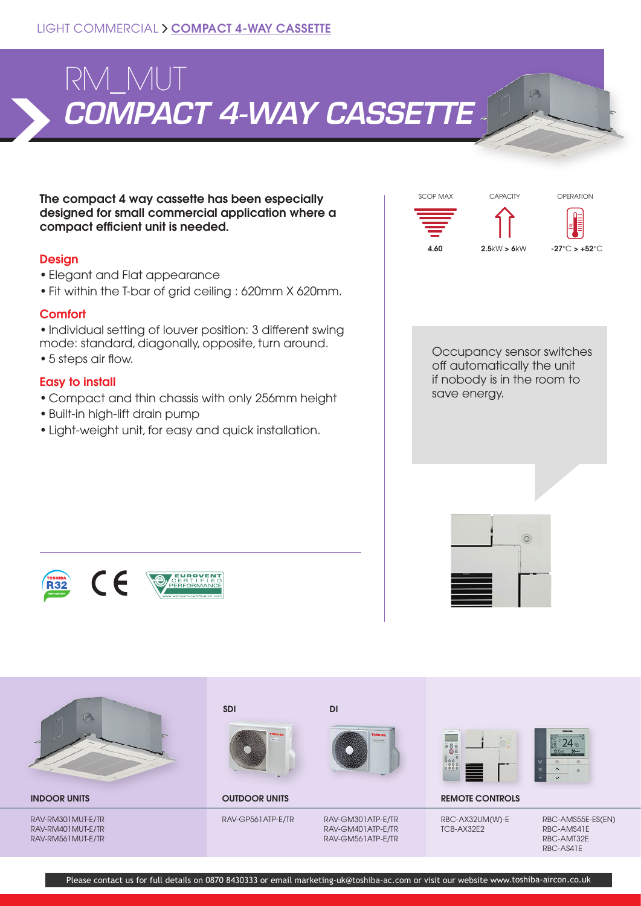

The compact 4 way cassette has been especially designed for small commercial application where a compact efficient unit is needed.

# **Design**

- Elegant and Flat appearance
- Fit within the T-bar of grid ceiling : 620mm X 620mm.

# **Comfort**

• Individual setting of louver position: 3 different swing mode: standard, diagonally, opposite, turn around.

• 5 steps air flow.

# Easy to install

- Compact and thin chassis with only 256mm height
- Built-in high-lift drain pump
- Light-weight unit, for easy and quick installation.